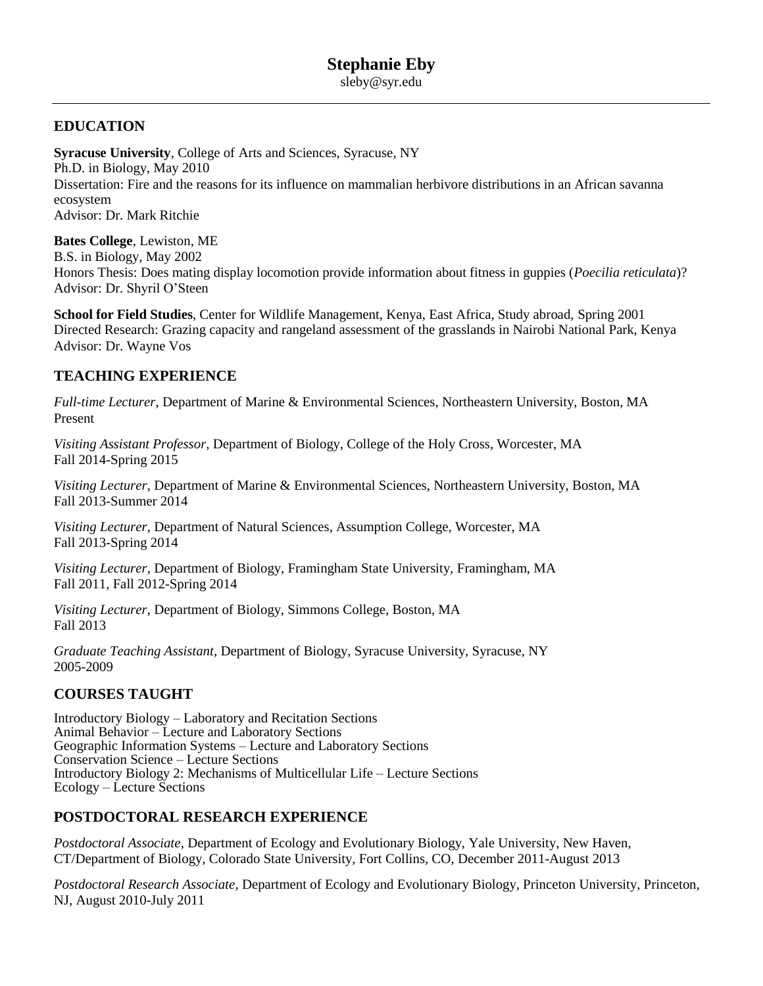# **EDUCATION**

**Syracuse University**, College of Arts and Sciences, Syracuse, NY Ph.D. in Biology, May 2010 Dissertation: Fire and the reasons for its influence on mammalian herbivore distributions in an African savanna ecosystem Advisor: Dr. Mark Ritchie

**Bates College**, Lewiston, ME B.S. in Biology, May 2002 Honors Thesis: Does mating display locomotion provide information about fitness in guppies (*Poecilia reticulata*)? Advisor: Dr. Shyril O'Steen

**School for Field Studies**, Center for Wildlife Management, Kenya, East Africa, Study abroad, Spring 2001 Directed Research: Grazing capacity and rangeland assessment of the grasslands in Nairobi National Park, Kenya Advisor: Dr. Wayne Vos

# **TEACHING EXPERIENCE**

*Full-time Lecturer*, Department of Marine & Environmental Sciences, Northeastern University, Boston, MA Present

*Visiting Assistant Professor*, Department of Biology, College of the Holy Cross, Worcester, MA Fall 2014-Spring 2015

*Visiting Lecturer*, Department of Marine & Environmental Sciences, Northeastern University, Boston, MA Fall 2013-Summer 2014

*Visiting Lecturer*, Department of Natural Sciences, Assumption College, Worcester, MA Fall 2013-Spring 2014

*Visiting Lecturer*, Department of Biology, Framingham State University, Framingham, MA Fall 2011, Fall 2012-Spring 2014

*Visiting Lecturer*, Department of Biology, Simmons College, Boston, MA Fall 2013

*Graduate Teaching Assistant*, Department of Biology, Syracuse University, Syracuse, NY 2005-2009

# **COURSES TAUGHT**

Introductory Biology – Laboratory and Recitation Sections Animal Behavior – Lecture and Laboratory Sections Geographic Information Systems – Lecture and Laboratory Sections Conservation Science – Lecture Sections Introductory Biology 2: Mechanisms of Multicellular Life – Lecture Sections Ecology – Lecture Sections

# **POSTDOCTORAL RESEARCH EXPERIENCE**

*Postdoctoral Associate*, Department of Ecology and Evolutionary Biology, Yale University, New Haven, CT/Department of Biology, Colorado State University, Fort Collins, CO, December 2011-August 2013

*Postdoctoral Research Associate*, Department of Ecology and Evolutionary Biology, Princeton University, Princeton, NJ, August 2010-July 2011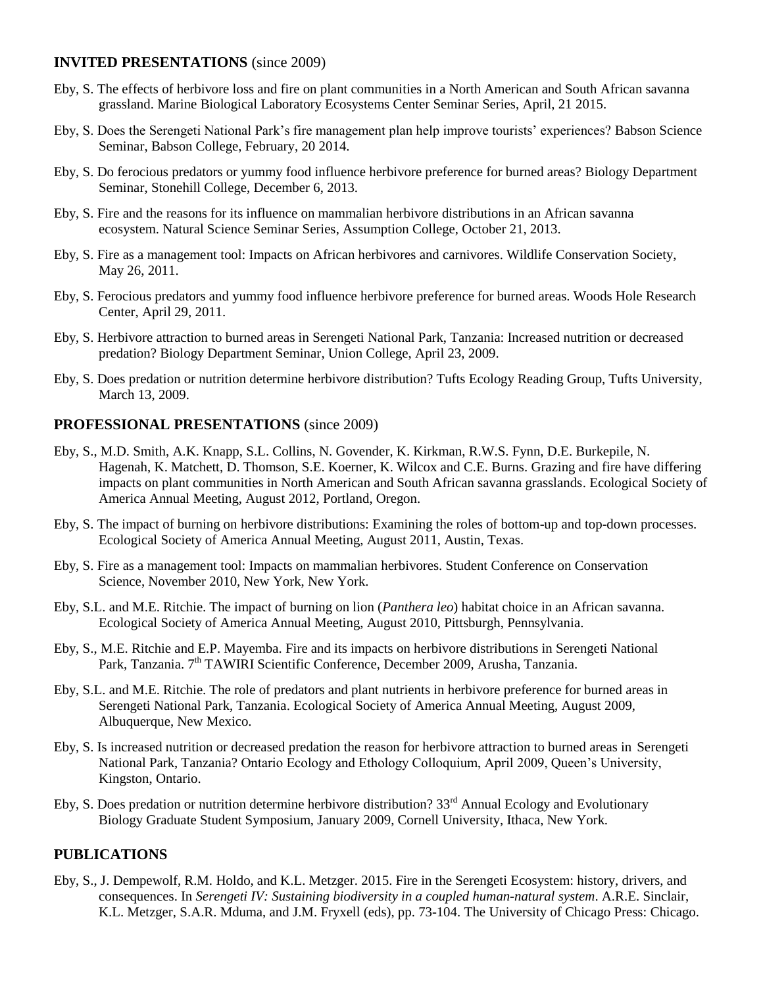#### **INVITED PRESENTATIONS** (since 2009)

- Eby, S. The effects of herbivore loss and fire on plant communities in a North American and South African savanna grassland. Marine Biological Laboratory Ecosystems Center Seminar Series, April, 21 2015.
- Eby, S. Does the Serengeti National Park's fire management plan help improve tourists' experiences? Babson Science Seminar, Babson College, February, 20 2014.
- Eby, S. Do ferocious predators or yummy food influence herbivore preference for burned areas? Biology Department Seminar, Stonehill College, December 6, 2013.
- Eby, S. Fire and the reasons for its influence on mammalian herbivore distributions in an African savanna ecosystem. Natural Science Seminar Series, Assumption College, October 21, 2013.
- Eby, S. Fire as a management tool: Impacts on African herbivores and carnivores. Wildlife Conservation Society, May 26, 2011.
- Eby, S. Ferocious predators and yummy food influence herbivore preference for burned areas. Woods Hole Research Center, April 29, 2011.
- Eby, S. Herbivore attraction to burned areas in Serengeti National Park, Tanzania: Increased nutrition or decreased predation? Biology Department Seminar, Union College, April 23, 2009.
- Eby, S. Does predation or nutrition determine herbivore distribution? Tufts Ecology Reading Group, Tufts University, March 13, 2009.

#### **PROFESSIONAL PRESENTATIONS** (since 2009)

- Eby, S., M.D. Smith, A.K. Knapp, S.L. Collins, N. Govender, K. Kirkman, R.W.S. Fynn, D.E. Burkepile, N. Hagenah, K. Matchett, D. Thomson, S.E. Koerner, K. Wilcox and C.E. Burns. Grazing and fire have differing impacts on plant communities in North American and South African savanna grasslands. Ecological Society of America Annual Meeting, August 2012, Portland, Oregon.
- Eby, S. The impact of burning on herbivore distributions: Examining the roles of bottom-up and top-down processes. Ecological Society of America Annual Meeting, August 2011, Austin, Texas.
- Eby, S. Fire as a management tool: Impacts on mammalian herbivores. Student Conference on Conservation Science, November 2010, New York, New York.
- Eby, S.L. and M.E. Ritchie. The impact of burning on lion (*Panthera leo*) habitat choice in an African savanna. Ecological Society of America Annual Meeting, August 2010, Pittsburgh, Pennsylvania.
- Eby, S., M.E. Ritchie and E.P. Mayemba. Fire and its impacts on herbivore distributions in Serengeti National Park, Tanzania. 7<sup>th</sup> TAWIRI Scientific Conference, December 2009, Arusha, Tanzania.
- Eby, S.L. and M.E. Ritchie. The role of predators and plant nutrients in herbivore preference for burned areas in Serengeti National Park, Tanzania. Ecological Society of America Annual Meeting, August 2009, Albuquerque, New Mexico.
- Eby, S. Is increased nutrition or decreased predation the reason for herbivore attraction to burned areas in Serengeti National Park, Tanzania? Ontario Ecology and Ethology Colloquium, April 2009, Queen's University, Kingston, Ontario.
- Eby, S. Does predation or nutrition determine herbivore distribution? 33<sup>rd</sup> Annual Ecology and Evolutionary Biology Graduate Student Symposium, January 2009, Cornell University, Ithaca, New York.

#### **PUBLICATIONS**

Eby, S., J. Dempewolf, R.M. Holdo, and K.L. Metzger. 2015. Fire in the Serengeti Ecosystem: history, drivers, and consequences. In *Serengeti IV: Sustaining biodiversity in a coupled human-natural system*. A.R.E. Sinclair, K.L. Metzger, S.A.R. Mduma, and J.M. Fryxell (eds), pp. 73-104. The University of Chicago Press: Chicago.